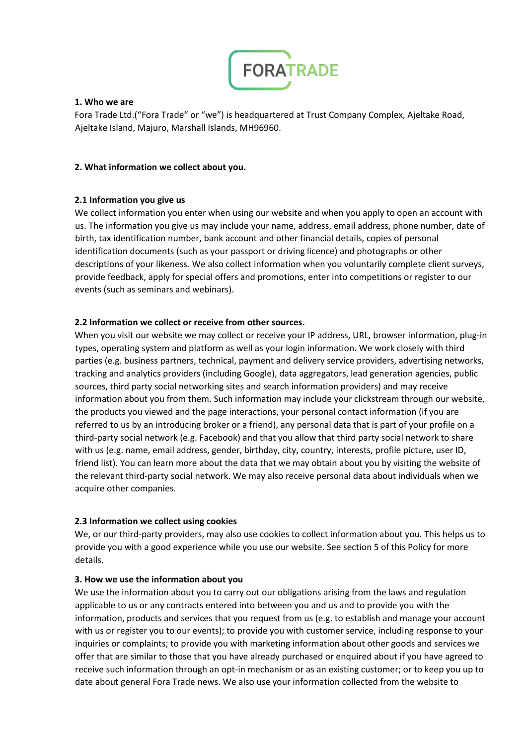

# **1. Who we are**

Fora Trade Ltd.("Fora Trade" or "we") is headquartered at Trust Company Complex, Ajeltake Road, Ajeltake Island, Majuro, Marshall Islands, MH96960.

## **2. What information we collect about you.**

# **2.1 Information you give us**

We collect information you enter when using our website and when you apply to open an account with us. The information you give us may include your name, address, email address, phone number, date of birth, tax identification number, bank account and other financial details, copies of personal identification documents (such as your passport or driving licence) and photographs or other descriptions of your likeness. We also collect information when you voluntarily complete client surveys, provide feedback, apply for special offers and promotions, enter into competitions or register to our events (such as seminars and webinars).

# **2.2 Information we collect or receive from other sources.**

When you visit our website we may collect or receive your IP address, URL, browser information, plug-in types, operating system and platform as well as your login information. We work closely with third parties (e.g. business partners, technical, payment and delivery service providers, advertising networks, tracking and analytics providers (including Google), data aggregators, lead generation agencies, public sources, third party social networking sites and search information providers) and may receive information about you from them. Such information may include your clickstream through our website, the products you viewed and the page interactions, your personal contact information (if you are referred to us by an introducing broker or a friend), any personal data that is part of your profile on a third-party social network (e.g. Facebook) and that you allow that third party social network to share with us (e.g. name, email address, gender, birthday, city, country, interests, profile picture, user ID, friend list). You can learn more about the data that we may obtain about you by visiting the website of the relevant third-party social network. We may also receive personal data about individuals when we acquire other companies.

### **2.3 Information we collect using cookies**

We, or our third-party providers, may also use cookies to collect information about you. This helps us to provide you with a good experience while you use our website. See section 5 of this Policy for more details.

### **3. How we use the information about you**

We use the information about you to carry out our obligations arising from the laws and regulation applicable to us or any contracts entered into between you and us and to provide you with the information, products and services that you request from us (e.g. to establish and manage your account with us or register you to our events); to provide you with customer service, including response to your inquiries or complaints; to provide you with marketing information about other goods and services we offer that are similar to those that you have already purchased or enquired about if you have agreed to receive such information through an opt-in mechanism or as an existing customer; or to keep you up to date about general Fora Trade news. We also use your information collected from the website to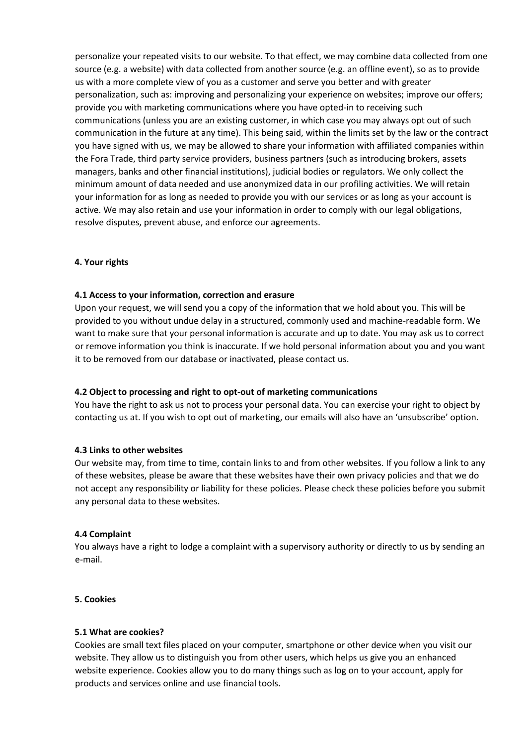personalize your repeated visits to our website. To that effect, we may combine data collected from one source (e.g. a website) with data collected from another source (e.g. an offline event), so as to provide us with a more complete view of you as a customer and serve you better and with greater personalization, such as: improving and personalizing your experience on websites; improve our offers; provide you with marketing communications where you have opted-in to receiving such communications (unless you are an existing customer, in which case you may always opt out of such communication in the future at any time). This being said, within the limits set by the law or the contract you have signed with us, we may be allowed to share your information with affiliated companies within the Fora Trade, third party service providers, business partners (such as introducing brokers, assets managers, banks and other financial institutions), judicial bodies or regulators. We only collect the minimum amount of data needed and use anonymized data in our profiling activities. We will retain your information for as long as needed to provide you with our services or as long as your account is active. We may also retain and use your information in order to comply with our legal obligations, resolve disputes, prevent abuse, and enforce our agreements.

### **4. Your rights**

### **4.1 Access to your information, correction and erasure**

Upon your request, we will send you a copy of the information that we hold about you. This will be provided to you without undue delay in a structured, commonly used and machine-readable form. We want to make sure that your personal information is accurate and up to date. You may ask us to correct or remove information you think is inaccurate. If we hold personal information about you and you want it to be removed from our database or inactivated, please contact us.

### **4.2 Object to processing and right to opt-out of marketing communications**

You have the right to ask us not to process your personal data. You can exercise your right to object by contacting us at. If you wish to opt out of marketing, our emails will also have an 'unsubscribe' option.

### **4.3 Links to other websites**

Our website may, from time to time, contain links to and from other websites. If you follow a link to any of these websites, please be aware that these websites have their own privacy policies and that we do not accept any responsibility or liability for these policies. Please check these policies before you submit any personal data to these websites.

### **4.4 Complaint**

You always have a right to lodge a complaint with a supervisory authority or directly to us by sending an e-mail.

### **5. Cookies**

### **5.1 What are cookies?**

Cookies are small text files placed on your computer, smartphone or other device when you visit our website. They allow us to distinguish you from other users, which helps us give you an enhanced website experience. Cookies allow you to do many things such as log on to your account, apply for products and services online and use financial tools.